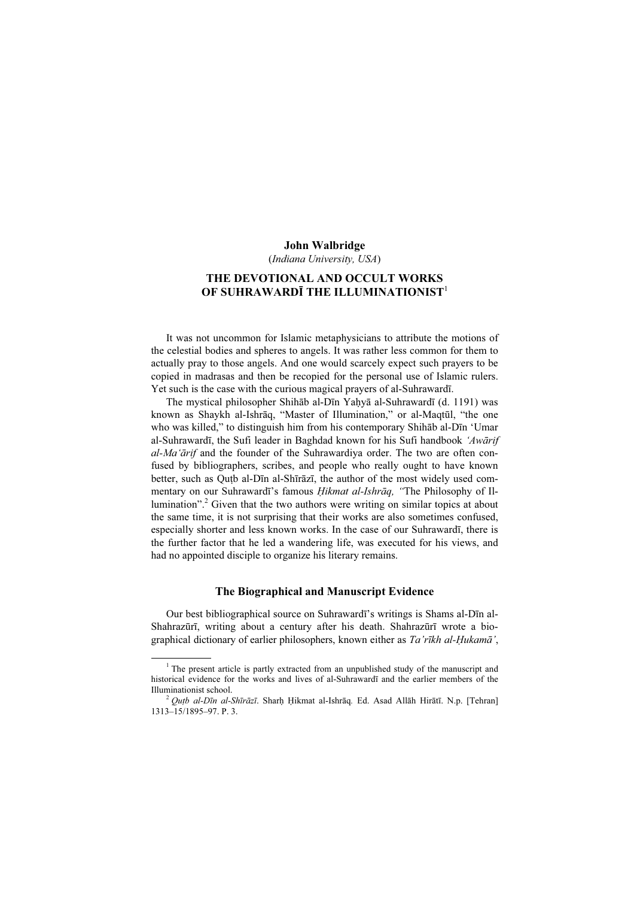#### John Walbridge

(Indiana University, USA)

# THE DEVOTIONAL AND OCCULT WORKS OF SUHRAWARDĪ THE ILLUMINATIONIST $^{\rm l}$

It was not uncommon for Islamic metaphysicians to attribute the motions of the celestial bodies and spheres to angels. It was rather less common for them to actually pray to those angels. And one would scarcely expect such prayers to be copied in madrasas and then be recopied for the personal use of Islamic rulers. Yet such is the case with the curious magical prayers of al-Suhrawardī.

The mystical philosopher Shihāb al-Dīn Yaḥyā al-Suhrawardī (d. 1191) was known as Shaykh al-Ishrāq, "Master of Illumination," or al-Maqtūl, "the one who was killed," to distinguish him from his contemporary Shihāb al-Dīn 'Umar al-Suhrawardī, the Sufi leader in Baghdad known for his Sufi handbook 'Awārif al-Ma'ārif and the founder of the Suhrawardiya order. The two are often confused by bibliographers, scribes, and people who really ought to have known better, such as Quṭb al-Dīn al-Shīrāzī, the author of the most widely used commentary on our Suhrawardī's famous Hikmat al-Ishrāq, "The Philosophy of Illumination".<sup>2</sup> Given that the two authors were writing on similar topics at about the same time, it is not surprising that their works are also sometimes confused, especially shorter and less known works. In the case of our Suhrawardī, there is the further factor that he led a wandering life, was executed for his views, and had no appointed disciple to organize his literary remains.

### The Biographical and Manuscript Evidence

Our best bibliographical source on Suhrawardī's writings is Shams al-Dīn al-Shahrazūrī, writing about a century after his death. Shahrazūrī wrote a biographical dictionary of earlier philosophers, known either as Ta'rīkh al-Ḥukamā',

 $\frac{1}{1}$  $1$ <sup>1</sup> The present article is partly extracted from an unpublished study of the manuscript and historical evidence for the works and lives of al-Suhrawardī and the earlier members of the Illuminationist school.<br><sup>2</sup> Qutb al-Dīn al-Shīrāzī. Sharḥ Ḥikmat al-Ishrāq. Ed. Asad Allāh Hirātī. N.p. [Tehran]

<sup>1313–15/1895–97.</sup> P. 3.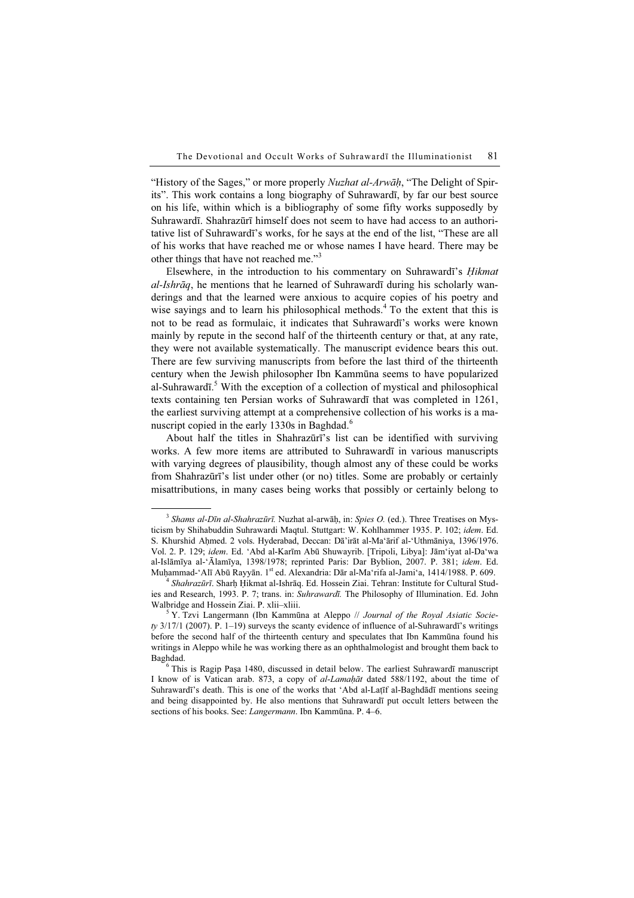"History of the Sages," or more properly *Nuzhat al-Arwāh*, "The Delight of Spirits". This work contains a long biography of Suhrawardī, by far our best source on his life, within which is a bibliography of some fifty works supposedly by Suhrawardī. Shahrazūrī himself does not seem to have had access to an authoritative list of Suhrawardī's works, for he says at the end of the list, "These are all of his works that have reached me or whose names I have heard. There may be other things that have not reached me."<sup>3</sup>

Elsewhere, in the introduction to his commentary on Suhrawardī's *Hikmat* al-Ishrāq, he mentions that he learned of Suhrawardī during his scholarly wanderings and that the learned were anxious to acquire copies of his poetry and wise sayings and to learn his philosophical methods.<sup>4</sup> To the extent that this is not to be read as formulaic, it indicates that Suhrawardī's works were known mainly by repute in the second half of the thirteenth century or that, at any rate, they were not available systematically. The manuscript evidence bears this out. There are few surviving manuscripts from before the last third of the thirteenth century when the Jewish philosopher Ibn Kammūna seems to have popularized al-Suhrawardī.<sup>5</sup> With the exception of a collection of mystical and philosophical texts containing ten Persian works of Suhrawardī that was completed in 1261, the earliest surviving attempt at a comprehensive collection of his works is a manuscript copied in the early 1330s in Baghdad.<sup>6</sup>

About half the titles in Shahrazūrī's list can be identified with surviving works. A few more items are attributed to Suhrawardī in various manuscripts with varying degrees of plausibility, though almost any of these could be works from Shahrazūrī's list under other (or no) titles. Some are probably or certainly misattributions, in many cases being works that possibly or certainly belong to

 $3$  Shams al-Dīn al-Shahrazūrī. Nuzhat al-arwāh, in: Spies O. (ed.). Three Treatises on Mysticism by Shihabuddin Suhrawardi Maqtul. Stuttgart: W. Kohlhammer 1935. P. 102; idem. Ed. S. Khurshid Aḥmed. 2 vols. Hyderabad, Deccan: Dā'irāt al-Ma'ārif al-'Uthmāniya, 1396/1976. Vol. 2. P. 129; idem. Ed. 'Abd al-Karīm Abū Shuwayrib. [Tripoli, Libya]: Jām'iyat al-Da'wa al-Islāmīya al-'Ālamīya, 1398/1978; reprinted Paris: Dar Byblion, 2007. P. 381; idem. Ed. Muḥammad-'Alī Abū Rayyān. 1<sup>st</sup> ed. Alexandria: Dār al-Ma'rifa al-Jami'a, 1414/1988. P. 609.<br><sup>4</sup> Shahrazūrī. Sharh Hikmat al-Ishrāq. Ed. Hossein Ziai. Tehran: Institute for Cultural Stud-

ies and Research, 1993. P. 7; trans. in: Suhrawardī. The Philosophy of Illumination. Ed. John Walbridge and Hossein Ziai. P. xlii–xliii. <sup>5</sup>

 $\frac{5}{3}$ Y. Tzvi Langermann (Ibn Kammūna at Aleppo // Journal of the Royal Asiatic Socie $ty$  3/17/1 (2007). P. 1–19) surveys the scanty evidence of influence of al-Suhrawardī's writings before the second half of the thirteenth century and speculates that Ibn Kammūna found his writings in Aleppo while he was working there as an ophthalmologist and brought them back to Baghdad. <sup>6</sup>

 $6$  This is Ragip Paşa 1480, discussed in detail below. The earliest Suhrawardī manuscript I know of is Vatican arab. 873, a copy of al-Lamaḥāt dated 588/1192, about the time of Suhrawardī's death. This is one of the works that 'Abd al-Laṭīf al-Baghdādī mentions seeing and being disappointed by. He also mentions that Suhrawardī put occult letters between the sections of his books. See: *Langermann*. Ibn Kammūna. P. 4–6.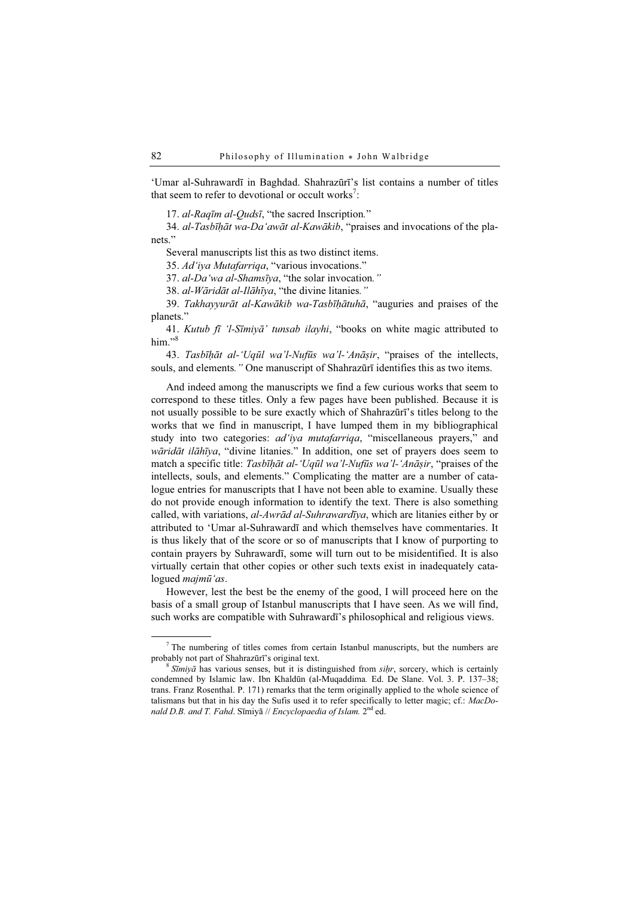'Umar al-Suhrawardī in Baghdad. Shahrazūrī's list contains a number of titles that seem to refer to devotional or occult works<sup>7</sup>:

17. al-Raqīm al-Qudsī, "the sacred Inscription."

34. al-Tasbīhāt wa-Da'awāt al-Kawākib, "praises and invocations of the planets."

Several manuscripts list this as two distinct items.

35. Ad'iya Mutafarriqa, "various invocations."

37. al-Da'wa al-Shamsīya, "the solar invocation."

38. al-Wāridāt al-Ilāhīya, "the divine litanies."

39. Takhayyurāt al-Kawākib wa-Tasbīḥātuhā, "auguries and praises of the planets."

41. Kutub fī 'l-Sīmiyā' tunsab ilayhi, "books on white magic attributed to him." $\frac{8}{3}$ 

43. Tasbīhāt al-'Uqūl wa'l-Nufūs wa'l-'Anāsir, "praises of the intellects, souls, and elements." One manuscript of Shahrazūrī identifies this as two items.

And indeed among the manuscripts we find a few curious works that seem to correspond to these titles. Only a few pages have been published. Because it is not usually possible to be sure exactly which of Shahrazūrī's titles belong to the works that we find in manuscript, I have lumped them in my bibliographical study into two categories: *ad'iya mutafarriqa*, "miscellaneous prayers," and wāridāt ilāhīya, "divine litanies." In addition, one set of prayers does seem to match a specific title: Tasbīḥāt al-'Uqūl wa'l-Nufūs wa'l-'Anāṣir, "praises of the intellects, souls, and elements." Complicating the matter are a number of catalogue entries for manuscripts that I have not been able to examine. Usually these do not provide enough information to identify the text. There is also something called, with variations, al-Awrād al-Suhrawardīya, which are litanies either by or attributed to 'Umar al-Suhrawardī and which themselves have commentaries. It is thus likely that of the score or so of manuscripts that I know of purporting to contain prayers by Suhrawardī, some will turn out to be misidentified. It is also virtually certain that other copies or other such texts exist in inadequately catalogued majmū'as.

However, lest the best be the enemy of the good, I will proceed here on the basis of a small group of Istanbul manuscripts that I have seen. As we will find, such works are compatible with Suhrawardī's philosophical and religious views.

 $\frac{1}{7}$  $\frac{7}{1}$  The numbering of titles comes from certain Istanbul manuscripts, but the numbers are probably not part of Shahrazūrī's original text.<br><sup>8</sup> Sīmiyā has various senses, but it is distinguished from *siḥr*, sorcery, which is certainly

condemned by Islamic law. Ibn Khaldūn (al-Muqaddima. Ed. De Slane. Vol. 3. P. 137–38; trans. Franz Rosenthal. P. 171) remarks that the term originally applied to the whole science of talismans but that in his day the Sufis used it to refer specifically to letter magic; cf.: MacDonald D.B. and T. Fahd. Sīmiyā // Encyclopaedia of Islam.  $2<sup>nd</sup>$  ed.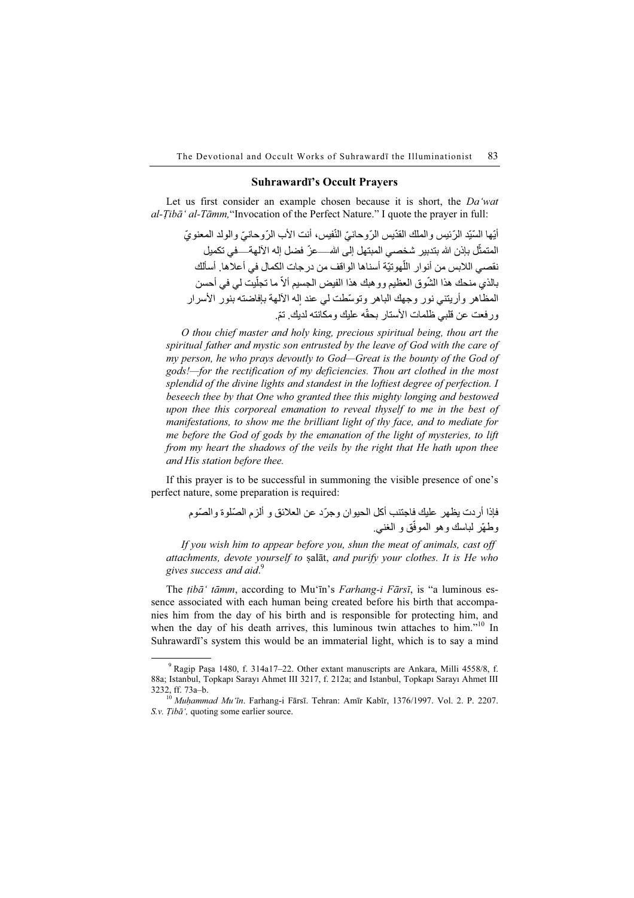### Suhrawardī's Occult Prayers

Let us first consider an example chosen because it is short, the Da'wat  $al-Tibā' al-Tāmm, "Invocation of the Perfect Nature." I quote the prayer in full:$ 

أتها السّتد الرّ ئيس والملك القدّيس الرّ وحانيّ النّفس ، أنت الأب الرّ وحانيّ والو لد المعنو يّ المتمثّل بإذن الله بتدبير شخصي المبتهل إلى الله—عزّ فضل إله الآلهة— في تكميل نقصبي اللابس من أنو ار اللّهو تبّة أسناها الو اقف من در جات الكمال في أعلاها. أسألك بالذي منحك هذا الشّوق العظيم وو هبك هذا الفيض الـجسيم ألاّ ما تـجلّيت لـي فـي أحسن المظاهر وأريتني نور وجهك الباهر وتوسّطت لي عند إله الالهة بإفاضته بنور الاسرار ورفعت عن قلبي ظلمات الأستار بحقّه عليك ومكانته لديك. تمّ.

O thou chief master and holy king, precious spiritual being, thou art the spiritual father and mystic son entrusted by the leave of God with the care of my person, he who prays devoutly to God—Great is the bounty of the God of gods!—for the rectification of my deficiencies. Thou art clothed in the most splendid of the divine lights and standest in the loftiest degree of perfection. I beseech thee by that One who granted thee this mighty longing and bestowed upon thee this corporeal emanation to reveal thyself to me in the best of manifestations, to show me the brilliant light of thy face, and to mediate for me before the God of gods by the emanation of the light of mysteries, to lift from my heart the shadows of the veils by the right that He hath upon thee and His station before thee.

If this prayer is to be successful in summoning the visible presence of one's perfect nature, some preparation is required:

> فإذا أر دت يظهر عليك فاجتنب أكل الحيوان وجرّد عن العلائق و ألزم الصّلوة والصّوم وطهّر لباسك وهو الموفّق و الغني.

If you wish him to appear before you, shun the meat of animals, cast off attachments, devote yourself to ṣalāt, and purify your clothes. It is He who gives success and aid.<sup>9</sup>

The *tiba' tāmm*, according to Mu'īn's *Farhang-i Fārsī*, is "a luminous essence associated with each human being created before his birth that accompanies him from the day of his birth and is responsible for protecting him, and when the day of his death arrives, this luminous twin attaches to him."<sup>10</sup> In Suhrawardī's system this would be an immaterial light, which is to say a mind

 $\frac{1}{9}$  $9$  Ragip Paşa 1480, f. 314a17–22. Other extant manuscripts are Ankara, Milli 4558/8, f. 88a; Istanbul, Topkapı Sarayı Ahmet III 3217, f. 212a; and Istanbul, Topkapı Sarayı Ahmet III 3232, ff. 73a–b. <sup>10</sup> Muḥammad Mu'īn. Farhang-i Fārsī. Tehran: Amīr Kabīr, 1376/1997. Vol. 2. P. 2207.

S.v. Tibā', quoting some earlier source.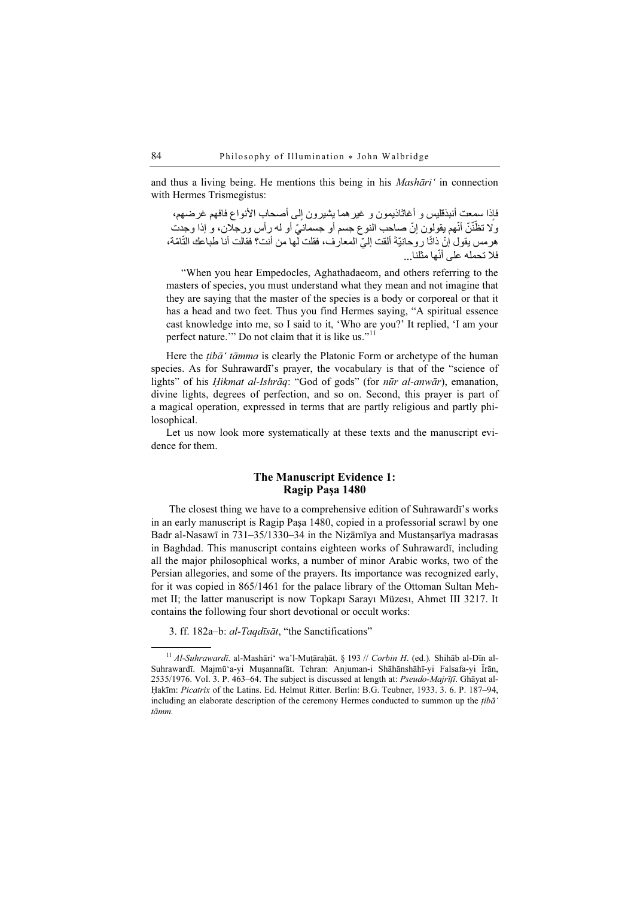and thus a living being. He mentions this being in his Mashāri' in connection with Hermes Trismegistus:

فإذا سمعت أنبذقليس و أغاثاذيمون و غير هما يشيرون إلى أصحاب الأنواع فافهم غرضـهم، ولا تظّنّنّ أنّهم يقولون إنّ صـاحب النوع جسم أو جسمانيّ أو لـه رِ أس ورجلان، و إذا وجدت هرمس يقول إنّ ذاتًا روحانيّةَ ألقت إليّ المعارف، فقلت لها من أنت؟ فقالت أنا طباعك النّامّة، فلا تحمله على أنّها مثلنا...

"When you hear Empedocles, Aghathadaeom, and others referring to the masters of species, you must understand what they mean and not imagine that they are saying that the master of the species is a body or corporeal or that it has a head and two feet. Thus you find Hermes saying, "A spiritual essence cast knowledge into me, so I said to it, 'Who are you?' It replied, 'I am your perfect nature." Do not claim that it is like us."<sup>11</sup>

Here the  $tib\bar{a}'$  tāmma is clearly the Platonic Form or archetype of the human species. As for Suhrawardī's prayer, the vocabulary is that of the "science of lights" of his *Hikmat al-Ishrāq*: "God of gods" (for *nūr al-anwār*), emanation, divine lights, degrees of perfection, and so on. Second, this prayer is part of a magical operation, expressed in terms that are partly religious and partly philosophical.

Let us now look more systematically at these texts and the manuscript evidence for them.

# The Manuscript Evidence 1: Ragip Paşa 1480

The closest thing we have to a comprehensive edition of Suhrawardī's works in an early manuscript is Ragip Paşa 1480, copied in a professorial scrawl by one Badr al-Nasawī in 731–35/1330–34 in the Niẓāmīya and Mustanṣarīya madrasas in Baghdad. This manuscript contains eighteen works of Suhrawardī, including all the major philosophical works, a number of minor Arabic works, two of the Persian allegories, and some of the prayers. Its importance was recognized early, for it was copied in 865/1461 for the palace library of the Ottoman Sultan Mehmet II; the latter manuscript is now Topkapı Sarayı Müzesı, Ahmet III 3217. It contains the following four short devotional or occult works:

3. ff. 182a–b: al-Taqdīsāt, "the Sanctifications"

 $11$  Al-Suhrawardī. al-Mashāri' wa'l-Muṭāraḥāt. § 193 // Corbin H. (ed.). Shihāb al-Dīn al-Suhrawardī. Majmū'a-yi Muṣannafāt. Tehran: Anjuman-i Shāhānshāhī-yi Falsafa-yi Īrān, 2535/1976. Vol. 3. P. 463–64. The subject is discussed at length at: Pseudo-Majrīṭī. Ghāyat al-Ḥakīm: Picatrix of the Latins. Ed. Helmut Ritter. Berlin: B.G. Teubner, 1933. 3. 6. P. 187–94, including an elaborate description of the ceremony Hermes conducted to summon up the  $tib\tilde{a}$ ' tāmm.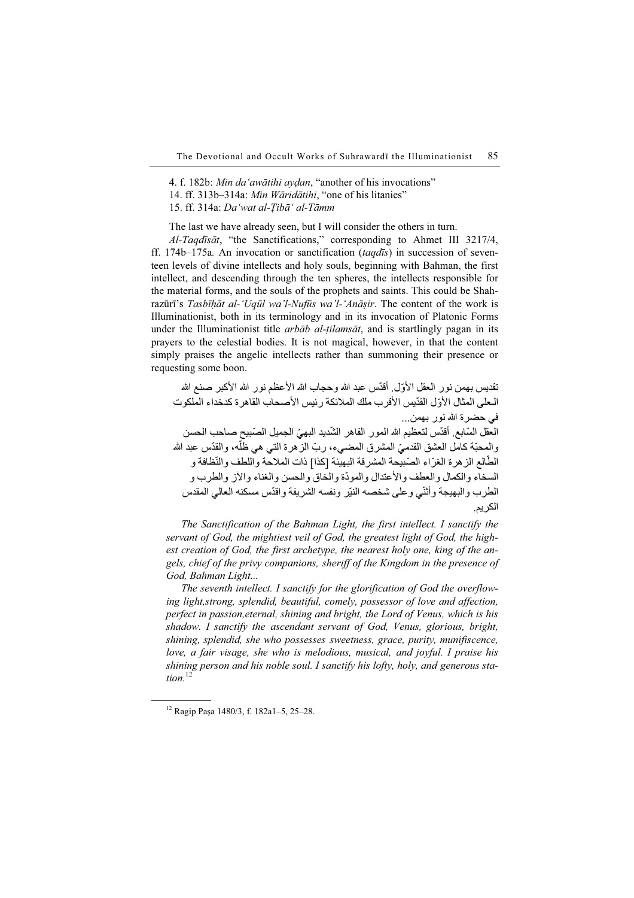4. f. 182b: Min da 'awātihi aydan, "another of his invocations" 14. ff. 313b–314a: Min Wāridātihi, "one of his litanies" 15. ff. 314a: Da'wat al-Ṭibā' al-Tāmm

The last we have already seen, but I will consider the others in turn.

Al-Taqdīsāt, "the Sanctifications," corresponding to Ahmet III 3217/4, ff. 174b–175a. An invocation or sanctification (taqdīs) in succession of seventeen levels of divine intellects and holy souls, beginning with Bahman, the first intellect, and descending through the ten spheres, the intellects responsible for the material forms, and the souls of the prophets and saints. This could be Shahrazūrī's Tasbīḥāt al-'Uqūl wa'l-Nufūs wa'l-'Anāṣir. The content of the work is Illuminationist, both in its terminology and in its invocation of Platonic Forms under the Illuminationist title *arbāb al-tilamsāt*, and is startlingly pagan in its prayers to the celestial bodies. It is not magical, however, in that the content simply praises the angelic intellects rather than summoning their presence or requesting some boon.

تقديس بـهمن نور العقل الأوّل. أقدّس عبد الله وحجاب الله الأعظم نور الله الأكبر صنع الله الـعلى المثال الأوّل القدّيس الأقرب ملك الملائكة رئيس الأصحاب القاهرة كدخداء الملكوت في حضرة الله نور بھمن... العقل السّابع. أقدّس لتعظيم الله المور القاهر الشّديد البهيّ الجميل الصّبيح صـاحب الـحسن والمحبّة كامل العشق القدميّ المشرق المضـيء، ربّ الزهرة التي هي ظلّه، والقدّس عبد الله الطَّالع الز هرة الغرّاء الصّبيحة المشرقة البهيئة [كذا] ذات الملاحة واللطف والنّظافة و السخاء والكمال والعطف والأعتدال والمودّة والخاق والحسن والغناء والآز والطرب و الطرب والبهيجة وأثنّي وعلى شخصه النيّر ونفسه الشريفة واقدّس مسكنه العالي المقدس الكريم.

The Sanctification of the Bahman Light, the first intellect. I sanctify the servant of God, the mightiest veil of God, the greatest light of God, the highest creation of God, the first archetype, the nearest holy one, king of the angels, chief of the privy companions, sheriff of the Kingdom in the presence of God, Bahman Light...

The seventh intellect. I sanctify for the glorification of God the overflowing light,strong, splendid, beautiful, comely, possessor of love and affection, perfect in passion,eternal, shining and bright, the Lord of Venus, which is his shadow. I sanctify the ascendant servant of God, Venus, glorious, bright, shining, splendid, she who possesses sweetness, grace, purity, munifiscence, love, a fair visage, she who is melodious, musical, and joyful. I praise his shining person and his noble soul. I sanctify his lofty, holy, and generous station. $12$ 

<sup>12</sup> Ragip Paşa 1480/3, f. 182a1–5, 25–28.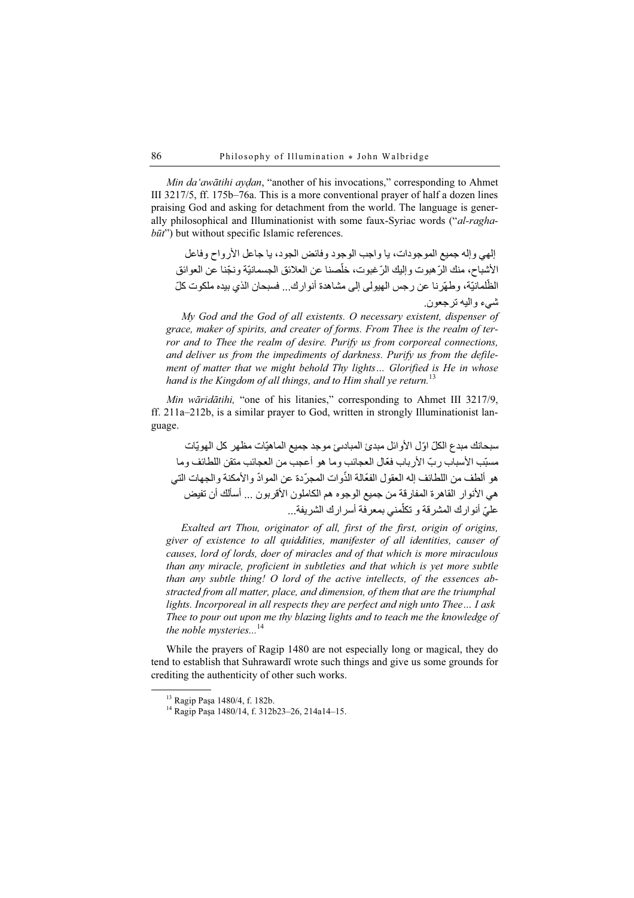Min da'awātihi aydan, "another of his invocations," corresponding to Ahmet III 3217/5, ff. 175b–76a. This is a more conventional prayer of half a dozen lines praising God and asking for detachment from the world. The language is generally philosophical and Illuminationist with some faux-Syriac words ("al-ragha $b\bar{u}t$ ") but without specific Islamic references.

إلھي وإله جميع الموجودات، يا واجب الوجود وفائض الجود، يا جاعل األرواح وفاعل الأشباح، منك الرّ هبوت وإليك الرّ غبوت، خلّصنا عن العلائق الجسمانيّة ونجّنا عن العوائق الظّلمانيّة، وطهّرنا عن رجس الهيولي إلى مشاهدة أنوارك... فسبحان الذي بيده ملكوت كلّ شيء واليه ترجعون.

My God and the God of all existents. O necessary existent, dispenser of grace, maker of spirits, and creater of forms. From Thee is the realm of terror and to Thee the realm of desire. Purify us from corporeal connections, and deliver us from the impediments of darkness. Purify us from the defilement of matter that we might behold Thy lights… Glorified is He in whose hand is the Kingdom of all things, and to Him shall ve return.<sup>13</sup>

Min wāridātihi, "one of his litanies," corresponding to Ahmet III 3217/9, ff. 211a–212b, is a similar prayer to God, written in strongly Illuminationist language.

ّ سبحانك مبدع الكل ّ اول األوائل مبدئ المبادٮئ موجد جميع الماھيّات مظھر كل الھويّات مسبّب الأسباب ر بّ الأر باب فعّال العجائب وما هو أعجب من العجائب متقن اللطائف وما هو ألطف من اللطائف إله العقول الفعّالة الذّوات المجرّدة عن الموادّ والأمكنة والجهات التي هي الأنوار القاهر ة المفار قة من جميع الوجو ه هم الكاملون الأقر بون ... أسألك أن تفيض عليّ أنوار ك المشر قة و تكلّمني بمعر فة أسر ار ك الشر يفة...

Exalted art Thou, originator of all, first of the first, origin of origins, giver of existence to all quiddities, manifester of all identities, causer of causes, lord of lords, doer of miracles and of that which is more miraculous than any miracle, proficient in subtleties and that which is yet more subtle than any subtle thing! O lord of the active intellects, of the essences abstracted from all matter, place, and dimension, of them that are the triumphal lights. Incorporeal in all respects they are perfect and nigh unto Thee… I ask Thee to pour out upon me thy blazing lights and to teach me the knowledge of the noble mysteries... $^{14}$ 

While the prayers of Ragip 1480 are not especially long or magical, they do tend to establish that Suhrawardī wrote such things and give us some grounds for crediting the authenticity of other such works.

<sup>13</sup> Ragip Paşa 1480/4, f. 182b.

<sup>14</sup> Ragip Paşa 1480/14, f. 312b23–26, 214a14–15.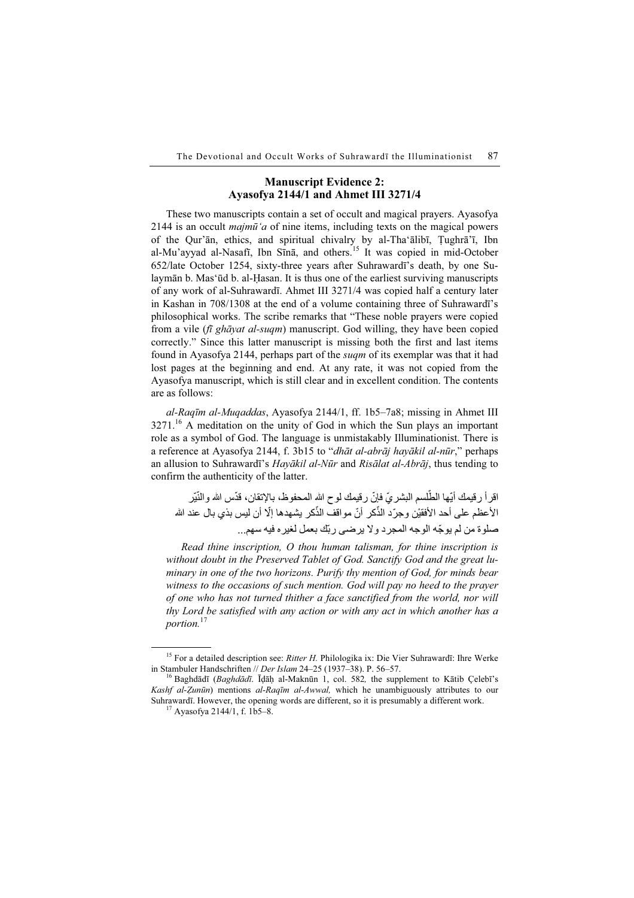# Manuscript Evidence 2: Ayasofya 2144/1 and Ahmet III 3271/4

These two manuscripts contain a set of occult and magical prayers. Ayasofya 2144 is an occult *majmū'a* of nine items, including texts on the magical powers of the Qur'ān, ethics, and spiritual chivalry by al-Tha'ālibī, Ṭughrā'ī, Ibn al-Mu'ayyad al-Nasafī, Ibn Sīnā, and others.<sup>15</sup> It was copied in mid-October 652/late October 1254, sixty-three years after Suhrawardī's death, by one Sulaymān b. Mas'ūd b. al-Ḥasan. It is thus one of the earliest surviving manuscripts of any work of al-Suhrawardī. Ahmet III 3271/4 was copied half a century later in Kashan in 708/1308 at the end of a volume containing three of Suhrawardī's philosophical works. The scribe remarks that "These noble prayers were copied from a vile (fi ghayat al-suqm) manuscript. God willing, they have been copied correctly." Since this latter manuscript is missing both the first and last items found in Ayasofya 2144, perhaps part of the suqm of its exemplar was that it had lost pages at the beginning and end. At any rate, it was not copied from the Ayasofya manuscript, which is still clear and in excellent condition. The contents are as follows:

al-Raqīm al-Muqaddas, Ayasofya 2144/1, ff. 1b5–7a8; missing in Ahmet III  $3271<sup>16</sup>$  A meditation on the unity of God in which the Sun plays an important role as a symbol of God. The language is unmistakably Illuminationist. There is a reference at Ayasofya 2144, f. 3b15 to "dhāt al-abrāj hayākil al-nūr," perhaps an allusion to Suhrawardī's Hayākil al-Nūr and Risālat al-Abrāj, thus tending to confirm the authenticity of the latter.

ّ اقر أ رقيمك أيّها الطّلسم البشر يّ فإنّ رقيمك لوح الله المحفوظ، بالإنقان، قدّس الله والنّيّر الأعظم على أحد الأفقيْن وجرّد الذّكر أنّ مواقف الذّكر يشهدها إلّا أن ليس بذي بـال عند الله ّ صلوة من لم يوجه الوجه المجرد وال يرضى ربّك بعمل لغيره فيه سھم...

Read thine inscription, O thou human talisman, for thine inscription is without doubt in the Preserved Tablet of God. Sanctify God and the great luminary in one of the two horizons. Purify thy mention of God, for minds bear witness to the occasions of such mention. God will pay no heed to the prayer of one who has not turned thither a face sanctified from the world, nor will thy Lord be satisfied with any action or with any act in which another has a portion.<sup>17</sup>

<sup>&</sup>lt;sup>15</sup> For a detailed description see: *Ritter H.* Philologika ix: Die Vier Suhrawardī: Ihre Werke in Stambuler Handschriften // *Der Islam* 24–25 (1937–38). P. 56–57.

<sup>&</sup>lt;sup>16</sup> Baghdādī (*Baghdādī*. Īḍāḥ al-Maknūn 1, col. 582, the supplement to Kātib Çelebī's Kashf al-Zunūn) mentions al-Raqīm al-Awwal, which he unambiguously attributes to our Suhrawardī. However, the opening words are different, so it is presumably a different work. <sup>17</sup> Ayasofya 2144/1, f. 1b5–8.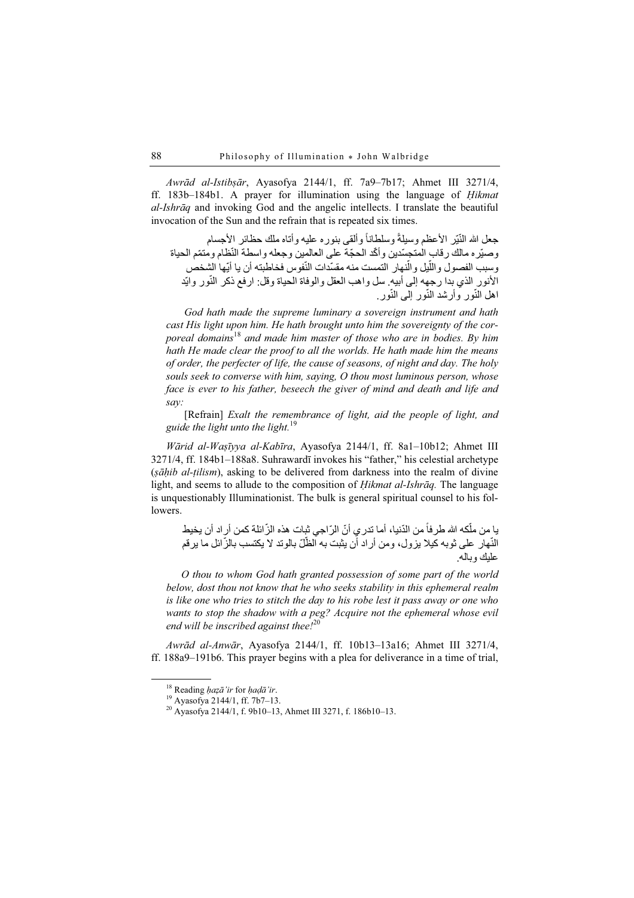Awrād al-Istibṣār, Ayasofya 2144/1, ff. 7a9–7b17; Ahmet III 3271/4, ff. 183b–184b1. A prayer for illumination using the language of Ḥikmat al-Ishrāq and invoking God and the angelic intellects. I translate the beautiful invocation of the Sun and the refrain that is repeated six times.

جعل الله النّيّر الأعظم وسيلةً وسلطاناً وألقى بنوره عليه وأتاه ملك حظائر الأجسام وصيّره مالك رقاب المتجسّدين وأكّد الحجّة على العالمين وجعله واسطة النّظام ومتمّم الحياة وسبب الفصول واللّيل والّنهار التمست منه مقسّدات النّفوس فخاطبته أن يا أيّها الشخص الأنور الذي بدا رجهه إلى أبيه. سل واهب العقل والوفاة الحياة وقل: ارفع ذكر النّور وايّد اهل النّور وأرشد النّور إلىي النّور.

God hath made the supreme luminary a sovereign instrument and hath cast His light upon him. He hath brought unto him the sovereignty of the corporeal domains<sup>18</sup> and made him master of those who are in bodies. By him hath He made clear the proof to all the worlds. He hath made him the means of order, the perfecter of life, the cause of seasons, of night and day. The holy souls seek to converse with him, saying, O thou most luminous person, whose face is ever to his father, beseech the giver of mind and death and life and say:

[Refrain] Exalt the remembrance of light, aid the people of light, and guide the light unto the light.<sup>19</sup>

Wārid al-Waṣīyya al-Kabīra, Ayasofya 2144/1, ff. 8a1–10b12; Ahmet III 3271/4, ff. 184b1–188a8. Suhrawardī invokes his "father," his celestial archetype (ṣāḥib al-ṭilism), asking to be delivered from darkness into the realm of divine light, and seems to allude to the composition of *Hikmat al-Ishrāq*. The language is unquestionably Illuminationist. The bulk is general spiritual counsel to his followers.

با من ملّكه الله طرفاً من الدّنيا، أما تدري أنّ الرّاجي ثبات هذه الزّائلة كمن أراد أن يخيط النّهار على ثوبه كيلا يزول، ومن أراد أن يثبت به الظّلّ بالوتد لا يكتسب بالزّائل ما يرقم عليك وباله.

O thou to whom God hath granted possession of some part of the world below, dost thou not know that he who seeks stability in this ephemeral realm is like one who tries to stitch the day to his robe lest it pass away or one who wants to stop the shadow with a peg? Acquire not the ephemeral whose evil end will be inscribed against thee! $^{20}$ 

Awrād al-Anwār, Ayasofya 2144/1, ff. 10b13–13a16; Ahmet III 3271/4, ff. 188a9–191b6. This prayer begins with a plea for deliverance in a time of trial,

<sup>&</sup>lt;sup>18</sup> Reading *ḥaẓā'ir* for *ḥaḍā'ir*.<br><sup>19</sup> Ayasofya 2144/1, ff. 7b7–13.

<sup>20</sup> Ayasofya 2144/1, f. 9b10–13, Ahmet III 3271, f. 186b10–13.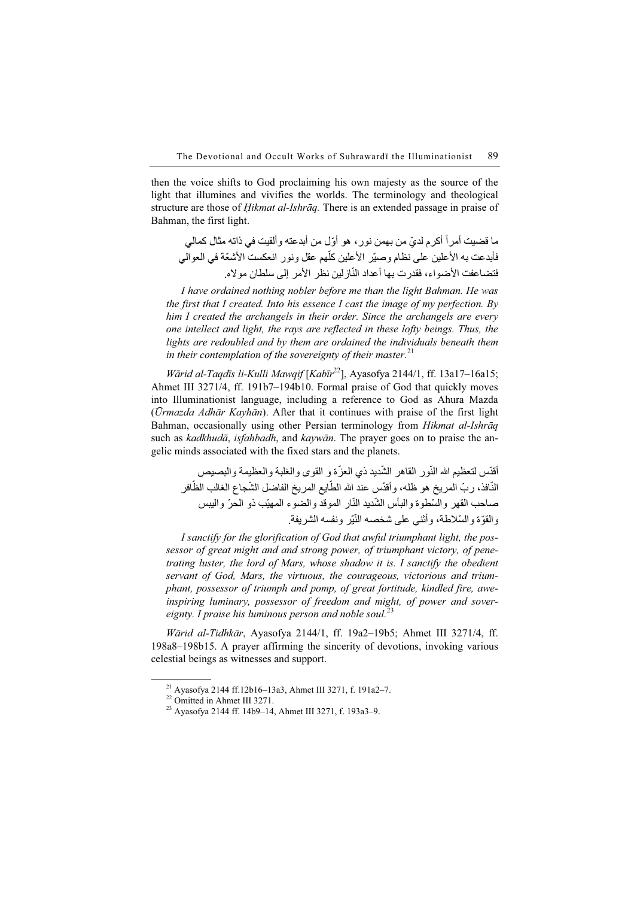then the voice shifts to God proclaiming his own majesty as the source of the light that illumines and vivifies the worlds. The terminology and theological structure are those of *Hikmat al-Ishrāq*. There is an extended passage in praise of Bahman, the first light.

ما قضيت أمر أ أكرم لديّ من بهمن نور ، هو أوّل من أبدعته وألقيت في ذاته مثال كمالي فأبدعت به الأعلين على نظام وصيّر الأعلين كلّهم عقل ونور انعكست الأشعّة في العوالي فتضاعفت الأضواء، فقدر ت بھا أعداد النّاز لين نظر الأمر إلى سلطان موالاه.

I have ordained nothing nobler before me than the light Bahman. He was the first that I created. Into his essence I cast the image of my perfection. By him I created the archangels in their order. Since the archangels are every one intellect and light, the rays are reflected in these lofty beings. Thus, the lights are redoubled and by them are ordained the individuals beneath them in their contemplation of the sovereignty of their master.<sup>21</sup>

Wārid al-Taqdīs li-Kulli Mawqif  $[Kab\bar{v}^{22}]$ , Ayasofya 2144/1, ff. 13a17–16a15; Ahmet III 3271/4, ff. 191b7–194b10. Formal praise of God that quickly moves into Illuminationist language, including a reference to God as Ahura Mazda (Ūrmazda Adhār Kayhān). After that it continues with praise of the first light Bahman, occasionally using other Persian terminology from Hikmat al-Ishraq such as kadkhudā, isfahbadh, and kaywān. The prayer goes on to praise the angelic minds associated with the fixed stars and the planets.

أقدّس لتعظيم الله النّور القاهر الشّديد ذي العزّة و القوى والغلبة والعظيمة والبصيص النّافذ، ربّ المريخ هو ظله، وأقدّس عند الله الطّايع المريخ الفاضل الشّجاع الغالب الظّافر صاحب القهر والسّطوة والبأس الشّديد النّار الموقد والضوء المهيّب ذو الحرّ واليبس والقوّة والسّلاطة، وأثني على شخصه النّيّر ونفسه الشريفة.

I sanctify for the glorification of God that awful triumphant light, the possessor of great might and and strong power, of triumphant victory, of penetrating luster, the lord of Mars, whose shadow it is. I sanctify the obedient servant of God, Mars, the virtuous, the courageous, victorious and triumphant, possessor of triumph and pomp, of great fortitude, kindled fire, aweinspiring luminary, possessor of freedom and might, of power and sovereignty. I praise his luminous person and noble soul. $^{23}$ 

Wārid al-Tidhkār, Ayasofya 2144/1, ff. 19a2–19b5; Ahmet III 3271/4, ff. 198a8–198b15. A prayer affirming the sincerity of devotions, invoking various celestial beings as witnesses and support.

<sup>&</sup>lt;sup>21</sup> Ayasofya 2144 ff.12b16–13a3, Ahmet III 3271, f. 191a2–7.<br><sup>22</sup> Omitted in Ahmet III 3271.

<sup>23</sup> Ayasofya 2144 ff. 14b9–14, Ahmet III 3271, f. 193a3–9.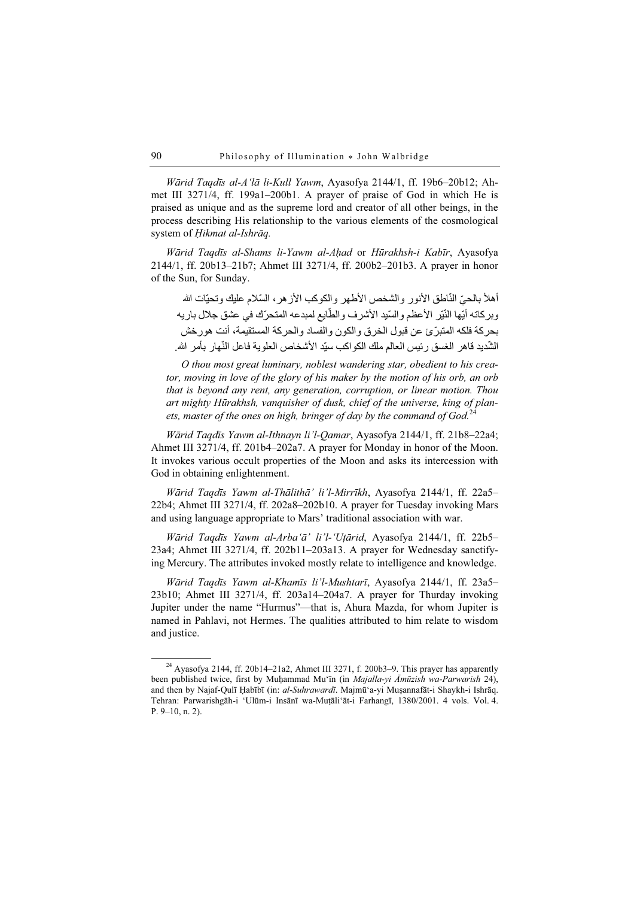Wārid Taqdīs al-A'lā li-Kull Yawm, Ayasofya 2144/1, ff. 19b6–20b12; Ahmet III 3271/4, ff. 199a1–200b1. A prayer of praise of God in which He is praised as unique and as the supreme lord and creator of all other beings, in the process describing His relationship to the various elements of the cosmological system of Ḥikmat al-Ishrāq.

Wārid Taqdīs al-Shams li-Yawm al-Aḥad or Hūrakhsh-i Kabīr, Ayasofya 2144/1, ff. 20b13–21b7; Ahmet III 3271/4, ff. 200b2–201b3. A prayer in honor of the Sun, for Sunday.

أهلأ بالحيّ النّاطق الأنور والشخص الأطهر والكوكب الأزهر، السّلام عليك وتحيّات الله وبركاته أيّها النّير الأعظم والسّيد الأشرف والطّايع لمبدعه المتحرّك في عشق جلال باريه ّ بحركة فلكه المتبرئ عن قبول الخرق والكون والفساد والحركة المستقيمة، أنت ھورخش الشّديد قاهر الغسق ر ئيس العالم ملك الكو اكب سيّد الأشخاص العلو ية فاعل النّهار بأمر الله.

O thou most great luminary, noblest wandering star, obedient to his creator, moving in love of the glory of his maker by the motion of his orb, an orb that is beyond any rent, any generation, corruption, or linear motion. Thou art mighty Hūrakhsh, vanquisher of dusk, chief of the universe, king of planets, master of the ones on high, bringer of day by the command of God.<sup>24</sup>

Wārid Taqdīs Yawm al-Ithnayn li'l-Qamar, Ayasofya 2144/1, ff. 21b8–22a4; Ahmet III 3271/4, ff. 201b4–202a7. A prayer for Monday in honor of the Moon. It invokes various occult properties of the Moon and asks its intercession with God in obtaining enlightenment.

Wārid Taqdīs Yawm al-Thālithā' li'l-Mirrīkh, Ayasofya 2144/1, ff. 22a5– 22b4; Ahmet III 3271/4, ff. 202a8–202b10. A prayer for Tuesday invoking Mars and using language appropriate to Mars' traditional association with war.

Wārid Taqdīs Yawm al-Arba'ā' li'l-'Uṭārid, Ayasofya 2144/1, ff. 22b5– 23a4; Ahmet III 3271/4, ff. 202b11–203a13. A prayer for Wednesday sanctifying Mercury. The attributes invoked mostly relate to intelligence and knowledge.

Wārid Taqdīs Yawm al-Khamīs li'l-Mushtarī, Ayasofya 2144/1, ff. 23a5– 23b10; Ahmet III 3271/4, ff. 203a14–204a7. A prayer for Thurday invoking Jupiter under the name "Hurmus"—that is, Ahura Mazda, for whom Jupiter is named in Pahlavi, not Hermes. The qualities attributed to him relate to wisdom and justice.

 $24$  Ayasofya 2144, ff. 20b14–21a2, Ahmet III 3271, f. 200b3–9. This prayer has apparently been published twice, first by Muḥammad Mu'īn (in Majalla-yi Āmūzish wa-Parwarish 24), and then by Najaf-Qulī Habībī (in: al-Suhrawardī. Majmū'a-yi Muṣannafāt-i Shaykh-i Ishrāq. Tehran: Parwarishgāh-i 'Ulūm-i Insānī wa-Muṭāli'āt-i Farhangī, 1380/2001. 4 vols. Vol. 4. P. 9–10, n. 2).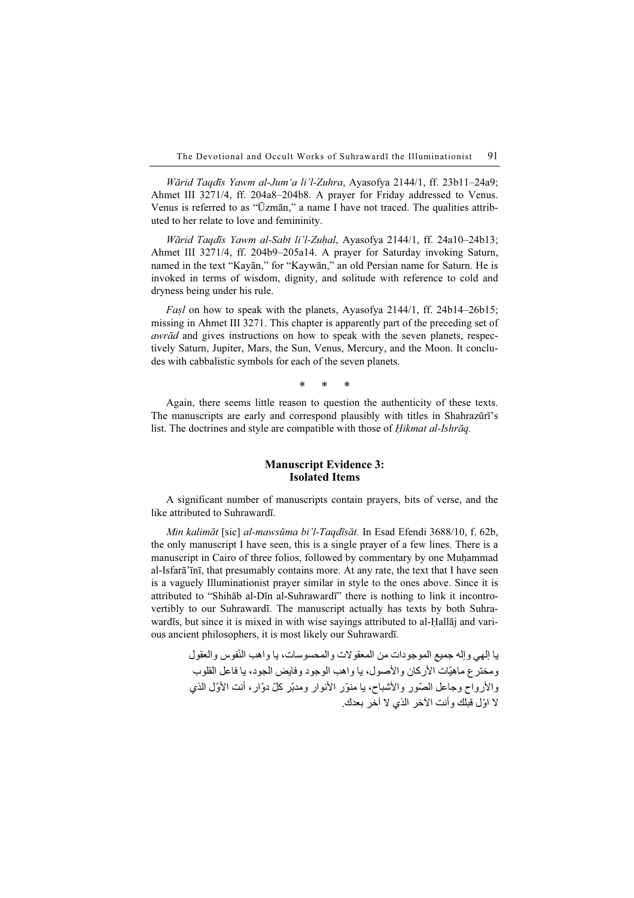Wārid Taqdīs Yawm al-Jum'a li'l-Zuhra, Ayasofya 2144/1, ff. 23b11–24a9; Ahmet III 3271/4, ff. 204a8–204b8. A prayer for Friday addressed to Venus. Venus is referred to as "Ūzmān," a name I have not traced. The qualities attributed to her relate to love and femininity.

Wārid Taqdīs Yawm al-Sabt li'l-Zuhal, Ayasofya 2144/1, ff. 24a10–24b13; Ahmet III 3271/4, ff. 204b9–205a14. A prayer for Saturday invoking Saturn, named in the text "Kayān," for "Kaywān," an old Persian name for Saturn. He is invoked in terms of wisdom, dignity, and solitude with reference to cold and dryness being under his rule.

Fasl on how to speak with the planets, Ayasofya 2144/1, ff. 24b14–26b15; missing in Ahmet III 3271. This chapter is apparently part of the preceding set of awrād and gives instructions on how to speak with the seven planets, respectively Saturn, Jupiter, Mars, the Sun, Venus, Mercury, and the Moon. It concludes with cabbalistic symbols for each of the seven planets.

\* \* \*

Again, there seems little reason to question the authenticity of these texts. The manuscripts are early and correspond plausibly with titles in Shahrazūrī's list. The doctrines and style are compatible with those of *Hikmat al-Ishrāq*.

### Manuscript Evidence 3: Isolated Items

A significant number of manuscripts contain prayers, bits of verse, and the like attributed to Suhrawardī.

Min kalimāt [sic] al-mawsūma bi'l-Taqdīsāt. In Esad Efendi 3688/10, f. 62b, the only manuscript I have seen, this is a single prayer of a few lines. There is a manuscript in Cairo of three folios, followed by commentary by one Muḥammad al-Isfarā'īnī, that presumably contains more. At any rate, the text that I have seen is a vaguely Illuminationist prayer similar in style to the ones above. Since it is attributed to "Shihāb al-Dīn al-Suhrawardī" there is nothing to link it incontrovertibly to our Suhrawardī. The manuscript actually has texts by both Suhrawardīs, but since it is mixed in with wise sayings attributed to al-Ḥallāj and various ancient philosophers, it is most likely our Suhrawardī.

> با إلهي وإله جميع الموجودات من المعقولات والمحسوسات، يا واهب النّفوس والعقول ومخترع ماھيّات الأركان والأصول، يا واھب الوجود وفايض الجود، يا فاعل القلوب والأرواح وجاعل الصّور والأشباح، يا منوّر الأنوار ومدبّر كلّ دوّار، أنت الأوّل الذي ال ّ اول قبلك وأنت اآلخر الذي ال آخر بعدك.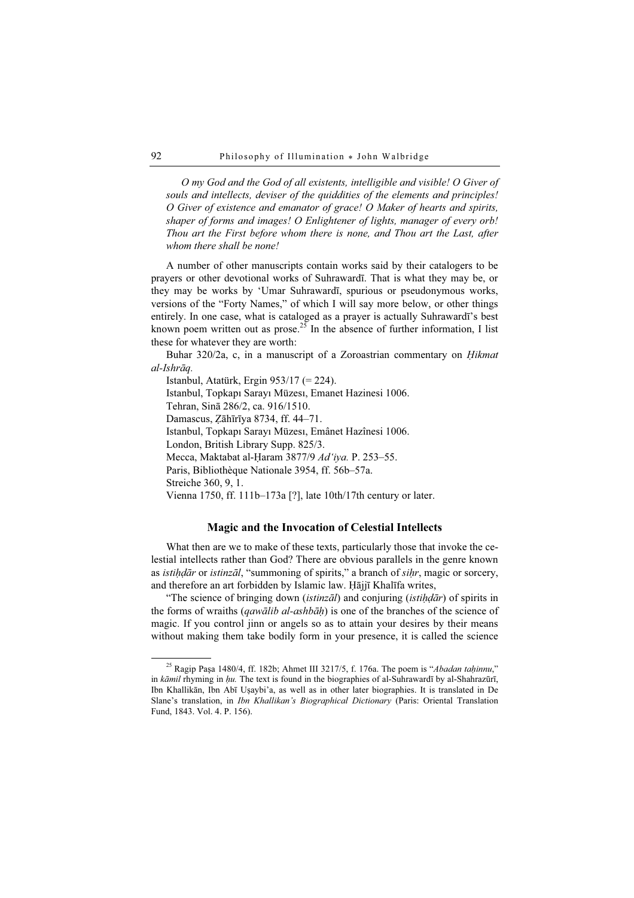O my God and the God of all existents, intelligible and visible! O Giver of souls and intellects, deviser of the quiddities of the elements and principles! O Giver of existence and emanator of grace! O Maker of hearts and spirits, shaper of forms and images! O Enlightener of lights, manager of every orb! Thou art the First before whom there is none, and Thou art the Last, after whom there shall be none!

A number of other manuscripts contain works said by their catalogers to be prayers or other devotional works of Suhrawardī. That is what they may be, or they may be works by 'Umar Suhrawardī, spurious or pseudonymous works, versions of the "Forty Names," of which I will say more below, or other things entirely. In one case, what is cataloged as a prayer is actually Suhrawardī's best known poem written out as prose.<sup>25</sup> In the absence of further information, I list these for whatever they are worth:

Buhar 320/2a, c, in a manuscript of a Zoroastrian commentary on Ḥikmat al-Ishrāq.

Istanbul, Atatürk, Ergin 953/17 (= 224). Istanbul, Topkapı Sarayı Müzesı, Emanet Hazinesi 1006. Tehran, Sinā 286/2, ca. 916/1510. Damascus, Ẓāhīrīya 8734, ff. 44–71. Istanbul, Topkapı Sarayı Müzesı, Emânet Hazînesi 1006. London, British Library Supp. 825/3. Mecca, Maktabat al-Ḥaram 3877/9 Ad'iya. P. 253–55. Paris, Bibliothèque Nationale 3954, ff. 56b–57a. Streiche 360, 9, 1. Vienna 1750, ff. 111b–173a [?], late 10th/17th century or later.

### Magic and the Invocation of Celestial Intellects

What then are we to make of these texts, particularly those that invoke the celestial intellects rather than God? There are obvious parallels in the genre known as *istihdār* or *istinzāl*, "summoning of spirits," a branch of *sihr*, magic or sorcery, and therefore an art forbidden by Islamic law. Ḥājjī Khalīfa writes,

"The science of bringing down (istinzāl) and conjuring (istih $d\bar{a}r$ ) of spirits in the forms of wraiths (*qawālib al-ashbāh*) is one of the branches of the science of magic. If you control jinn or angels so as to attain your desires by their means without making them take bodily form in your presence, it is called the science

<sup>&</sup>lt;sup>25</sup> Ragip Paşa 1480/4, ff. 182b; Ahmet III 3217/5, f. 176a. The poem is "Abadan taḥinnu," in  $k\bar{a}$ mil rhyming in  $hu$ . The text is found in the biographies of al-Suhrawardī by al-Shahrazūrī, Ibn Khallikān, Ibn Abī Uṣaybi'a, as well as in other later biographies. It is translated in De Slane's translation, in Ibn Khallikan's Biographical Dictionary (Paris: Oriental Translation Fund, 1843. Vol. 4. P. 156).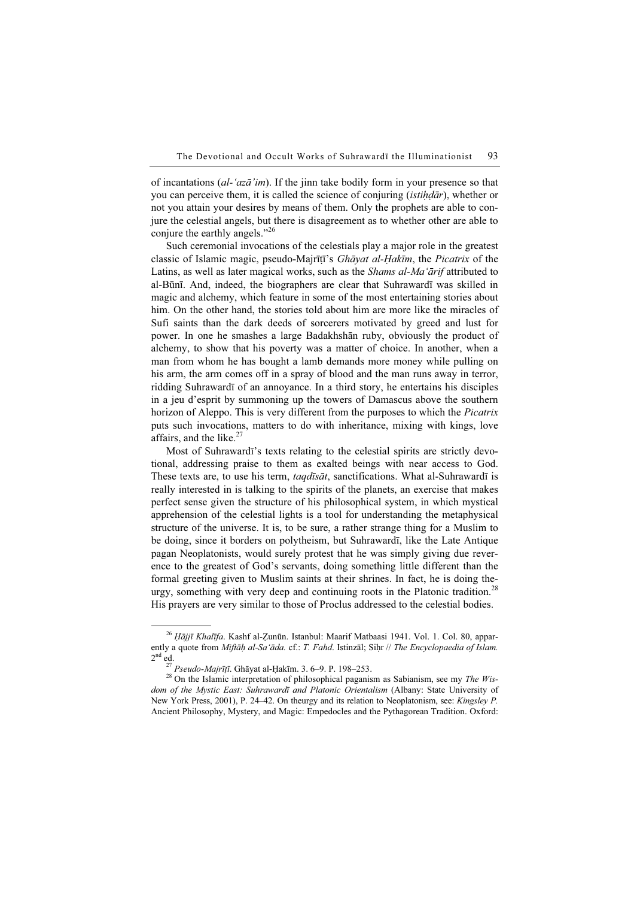of incantations (al-'az $\bar{a}'$  im). If the jinn take bodily form in your presence so that you can perceive them, it is called the science of conjuring *(istihdar)*, whether or not you attain your desires by means of them. Only the prophets are able to conjure the celestial angels, but there is disagreement as to whether other are able to conjure the earthly angels."<sup>26</sup>

Such ceremonial invocations of the celestials play a major role in the greatest classic of Islamic magic, pseudo-Majrīṭī's Ghāyat al-Ḥakīm, the Picatrix of the Latins, as well as later magical works, such as the *Shams al-Ma'ārif* attributed to al-Būnī. And, indeed, the biographers are clear that Suhrawardī was skilled in magic and alchemy, which feature in some of the most entertaining stories about him. On the other hand, the stories told about him are more like the miracles of Sufi saints than the dark deeds of sorcerers motivated by greed and lust for power. In one he smashes a large Badakhshān ruby, obviously the product of alchemy, to show that his poverty was a matter of choice. In another, when a man from whom he has bought a lamb demands more money while pulling on his arm, the arm comes off in a spray of blood and the man runs away in terror, ridding Suhrawardī of an annoyance. In a third story, he entertains his disciples in a jeu d'esprit by summoning up the towers of Damascus above the southern horizon of Aleppo. This is very different from the purposes to which the *Picatrix* puts such invocations, matters to do with inheritance, mixing with kings, love affairs, and the like. $27$ 

Most of Suhrawardī's texts relating to the celestial spirits are strictly devotional, addressing praise to them as exalted beings with near access to God. These texts are, to use his term, *tagdīsāt*, sanctifications. What al-Suhrawardī is really interested in is talking to the spirits of the planets, an exercise that makes perfect sense given the structure of his philosophical system, in which mystical apprehension of the celestial lights is a tool for understanding the metaphysical structure of the universe. It is, to be sure, a rather strange thing for a Muslim to be doing, since it borders on polytheism, but Suhrawardī, like the Late Antique pagan Neoplatonists, would surely protest that he was simply giving due reverence to the greatest of God's servants, doing something little different than the formal greeting given to Muslim saints at their shrines. In fact, he is doing theurgy, something with very deep and continuing roots in the Platonic tradition.<sup>28</sup> His prayers are very similar to those of Proclus addressed to the celestial bodies.

 $^{26}$  Hājjī Khalīfa. Kashf al-Zunūn. Istanbul: Maarif Matbaasi 1941. Vol. 1. Col. 80, apparently a quote from Miftāḥ al-Sa'āda. cf.: T. Fahd. Istinzāl; Siḥr // The Encyclopaedia of Islam.  $2<sup>nd</sup>$ ed.<br><sup>27</sup> *Pseudo-Mairītī*. Ghāvat al-Hakīm. 3. 6–9. P. 198–253.

 $^{28}$  On the Islamic interpretation of philosophical paganism as Sabianism, see my The Wisdom of the Mystic East: Suhrawardī and Platonic Orientalism (Albany: State University of New York Press, 2001), P. 24–42. On theurgy and its relation to Neoplatonism, see: Kingsley P. Ancient Philosophy, Mystery, and Magic: Empedocles and the Pythagorean Tradition. Oxford: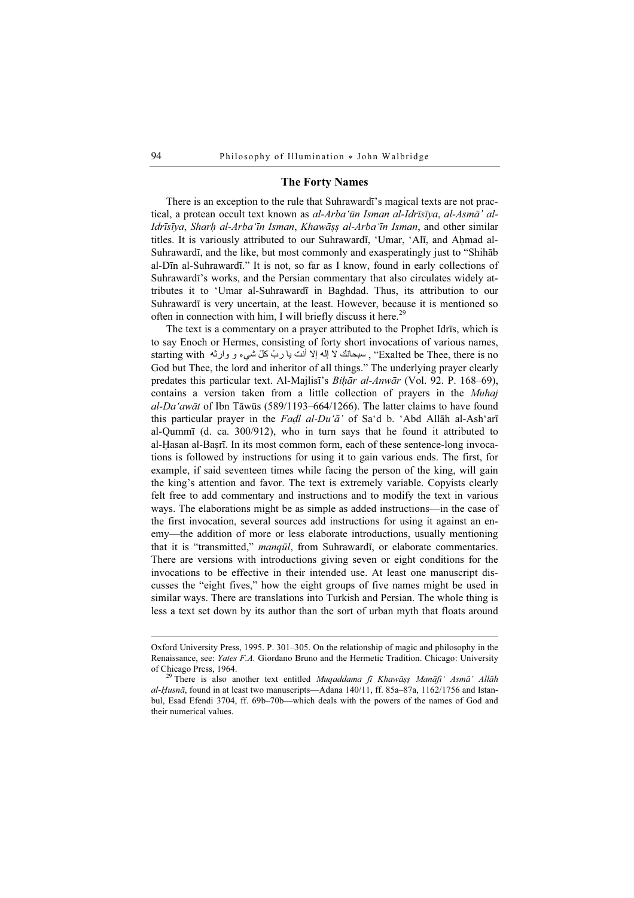### The Forty Names

There is an exception to the rule that Suhrawardī's magical texts are not practical, a protean occult text known as al-Arba'ūn Isman al-Idrīsīya, al-Asmā' al-Idrīsīya, Sharḥ al-Arba'īn Isman, Khawāṣṣ al-Arba'īn Isman, and other similar titles. It is variously attributed to our Suhrawardī, 'Umar, 'Alī, and Ahmad al-Suhrawardī, and the like, but most commonly and exasperatingly just to "Shihāb al-Dīn al-Suhrawardī." It is not, so far as I know, found in early collections of Suhrawardī's works, and the Persian commentary that also circulates widely attributes it to 'Umar al-Suhrawardī in Baghdad. Thus, its attribution to our Suhrawardī is very uncertain, at the least. However, because it is mentioned so often in connection with him, I will briefly discuss it here.<sup>29</sup>

The text is a commentary on a prayer attributed to the Prophet Idrīs, which is to say Enoch or Hermes, consisting of forty short invocations of various names, starting with "، سبحانك لا إله إلا أنّت يا ربّ كلّ شيء و وارثه starting with God but Thee, the lord and inheritor of all things." The underlying prayer clearly predates this particular text. Al-Majlisī's Bihār al-Anwār (Vol. 92. P. 168–69), contains a version taken from a little collection of prayers in the Muhaj al-Da'awāt of Ibn Tāwūs (589/1193–664/1266). The latter claims to have found this particular prayer in the Fadl al-Du'a<sup>'</sup> of Sa'd b. 'Abd Allah al-Ash'arī al-Qummī (d. ca. 300/912), who in turn says that he found it attributed to al-Ḥasan al-Baṣrī. In its most common form, each of these sentence-long invocations is followed by instructions for using it to gain various ends. The first, for example, if said seventeen times while facing the person of the king, will gain the king's attention and favor. The text is extremely variable. Copyists clearly felt free to add commentary and instructions and to modify the text in various ways. The elaborations might be as simple as added instructions—in the case of the first invocation, several sources add instructions for using it against an enemy—the addition of more or less elaborate introductions, usually mentioning that it is "transmitted," manqūl, from Suhrawardī, or elaborate commentaries. There are versions with introductions giving seven or eight conditions for the invocations to be effective in their intended use. At least one manuscript discusses the "eight fives," how the eight groups of five names might be used in similar ways. There are translations into Turkish and Persian. The whole thing is less a text set down by its author than the sort of urban myth that floats around

 $\overline{a}$ 

Oxford University Press, 1995. P. 301–305. On the relationship of magic and philosophy in the Renaissance, see: Yates F.A. Giordano Bruno and the Hermetic Tradition. Chicago: University of Chicago Press, 1964.<br><sup>29</sup> There is also another text entitled *Muqaddama fī Khawā*șṣ Manāfi' Asmā' Allāh

al-Husnā, found in at least two manuscripts—Adana 140/11, ff. 85a–87a, 1162/1756 and Istanbul, Esad Efendi 3704, ff. 69b–70b—which deals with the powers of the names of God and their numerical values.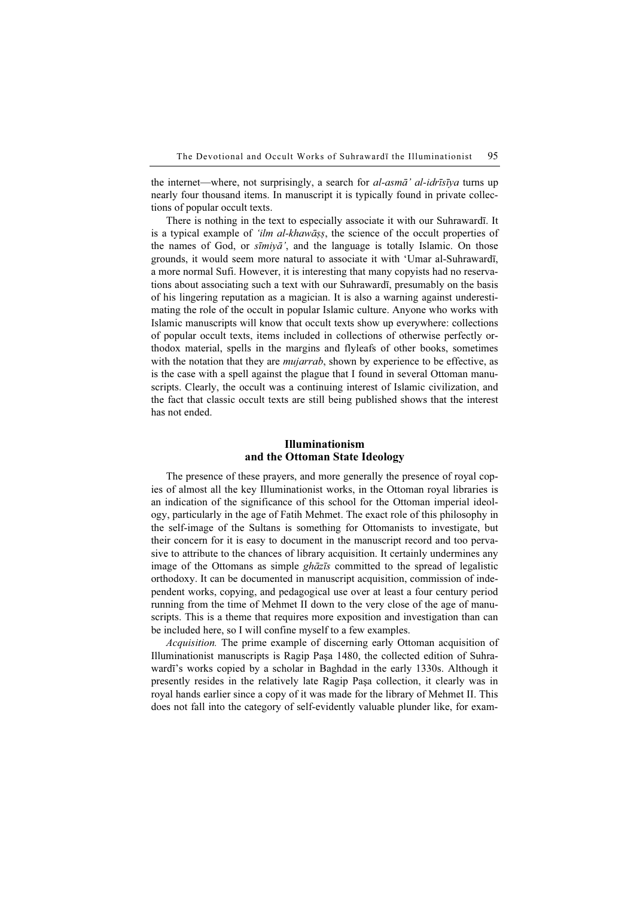the internet—where, not surprisingly, a search for *al-asmā' al-idrīsīya* turns up nearly four thousand items. In manuscript it is typically found in private collections of popular occult texts.

There is nothing in the text to especially associate it with our Suhrawardī. It is a typical example of 'ilm al-khawāṣṣ, the science of the occult properties of the names of God, or  $\sinh(\vec{a})$ , and the language is totally Islamic. On those grounds, it would seem more natural to associate it with 'Umar al-Suhrawardī, a more normal Sufi. However, it is interesting that many copyists had no reservations about associating such a text with our Suhrawardī, presumably on the basis of his lingering reputation as a magician. It is also a warning against underestimating the role of the occult in popular Islamic culture. Anyone who works with Islamic manuscripts will know that occult texts show up everywhere: collections of popular occult texts, items included in collections of otherwise perfectly orthodox material, spells in the margins and flyleafs of other books, sometimes with the notation that they are *mujarrab*, shown by experience to be effective, as is the case with a spell against the plague that I found in several Ottoman manuscripts. Clearly, the occult was a continuing interest of Islamic civilization, and the fact that classic occult texts are still being published shows that the interest has not ended.

# Illuminationism and the Ottoman State Ideology

The presence of these prayers, and more generally the presence of royal copies of almost all the key Illuminationist works, in the Ottoman royal libraries is an indication of the significance of this school for the Ottoman imperial ideology, particularly in the age of Fatih Mehmet. The exact role of this philosophy in the self-image of the Sultans is something for Ottomanists to investigate, but their concern for it is easy to document in the manuscript record and too pervasive to attribute to the chances of library acquisition. It certainly undermines any image of the Ottomans as simple ghāzīs committed to the spread of legalistic orthodoxy. It can be documented in manuscript acquisition, commission of independent works, copying, and pedagogical use over at least a four century period running from the time of Mehmet II down to the very close of the age of manuscripts. This is a theme that requires more exposition and investigation than can be included here, so I will confine myself to a few examples.

Acquisition. The prime example of discerning early Ottoman acquisition of Illuminationist manuscripts is Ragip Paşa 1480, the collected edition of Suhrawardī's works copied by a scholar in Baghdad in the early 1330s. Although it presently resides in the relatively late Ragip Paşa collection, it clearly was in royal hands earlier since a copy of it was made for the library of Mehmet II. This does not fall into the category of self-evidently valuable plunder like, for exam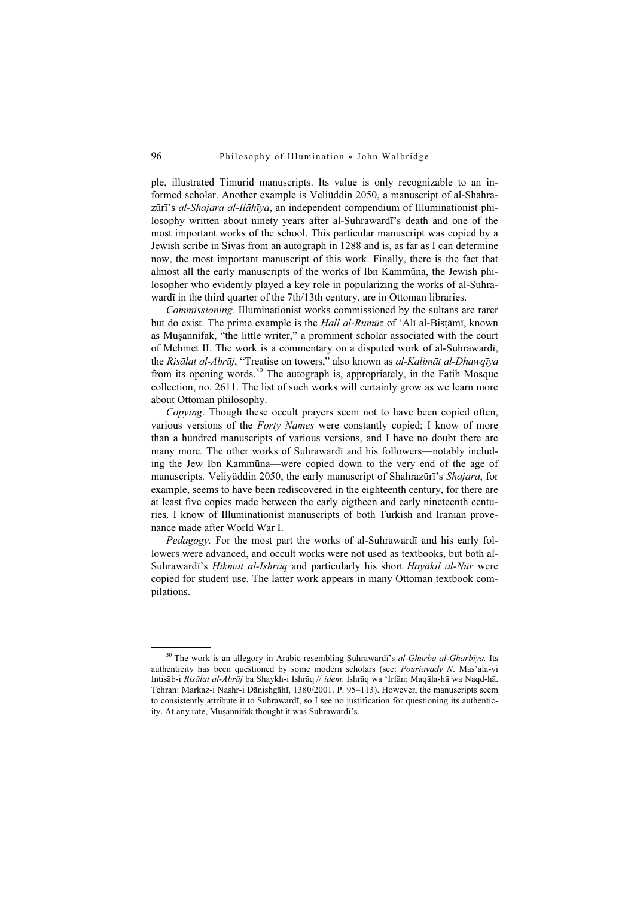ple, illustrated Timurid manuscripts. Its value is only recognizable to an informed scholar. Another example is Veliüddin 2050, a manuscript of al-Shahrazūrī's al-Shajara al-Ilāhīya, an independent compendium of Illuminationist philosophy written about ninety years after al-Suhrawardī's death and one of the most important works of the school. This particular manuscript was copied by a Jewish scribe in Sivas from an autograph in 1288 and is, as far as I can determine now, the most important manuscript of this work. Finally, there is the fact that almost all the early manuscripts of the works of Ibn Kammūna, the Jewish philosopher who evidently played a key role in popularizing the works of al-Suhrawardī in the third quarter of the 7th/13th century, are in Ottoman libraries.

Commissioning. Illuminationist works commissioned by the sultans are rarer but do exist. The prime example is the Ḥall al-Rumūz of 'Alī al-Bisṭāmī, known as Muṣannifak, "the little writer," a prominent scholar associated with the court of Mehmet II. The work is a commentary on a disputed work of al-Suhrawardī, the Risālat al-Abrāj, "Treatise on towers," also known as al-Kalimāt al-Dhawqīya from its opening words.<sup>30</sup> The autograph is, appropriately, in the Fatih Mosque collection, no. 2611. The list of such works will certainly grow as we learn more about Ottoman philosophy.

Copying. Though these occult prayers seem not to have been copied often, various versions of the Forty Names were constantly copied; I know of more than a hundred manuscripts of various versions, and I have no doubt there are many more. The other works of Suhrawardī and his followers—notably including the Jew Ibn Kammūna—were copied down to the very end of the age of manuscripts. Veliyüddin 2050, the early manuscript of Shahrazūrī's Shajara, for example, seems to have been rediscovered in the eighteenth century, for there are at least five copies made between the early eigtheen and early nineteenth centuries. I know of Illuminationist manuscripts of both Turkish and Iranian provenance made after World War I.

Pedagogy. For the most part the works of al-Suhrawardī and his early followers were advanced, and occult works were not used as textbooks, but both al-Suhrawardī's *Ḥikmat al-Ishrāq* and particularly his short *Hayākil al-Nūr* were copied for student use. The latter work appears in many Ottoman textbook compilations.

 $30$  The work is an allegory in Arabic resembling Suhrawardī's al-Ghurba al-Gharbīya. Its authenticity has been questioned by some modern scholars (see: Pourjavady N. Mas'ala-yi Intisāb-i Risālat al-Abrāj ba Shaykh-i Ishrāq // idem. Ishrāq wa 'Irfān: Maqāla-hā wa Naqd-hā. Tehran: Markaz-i Nashr-i Dānishgāhī, 1380/2001. P. 95–113). However, the manuscripts seem to consistently attribute it to Suhrawardī, so I see no justification for questioning its authenticity. At any rate, Muṣannifak thought it was Suhrawardī's.